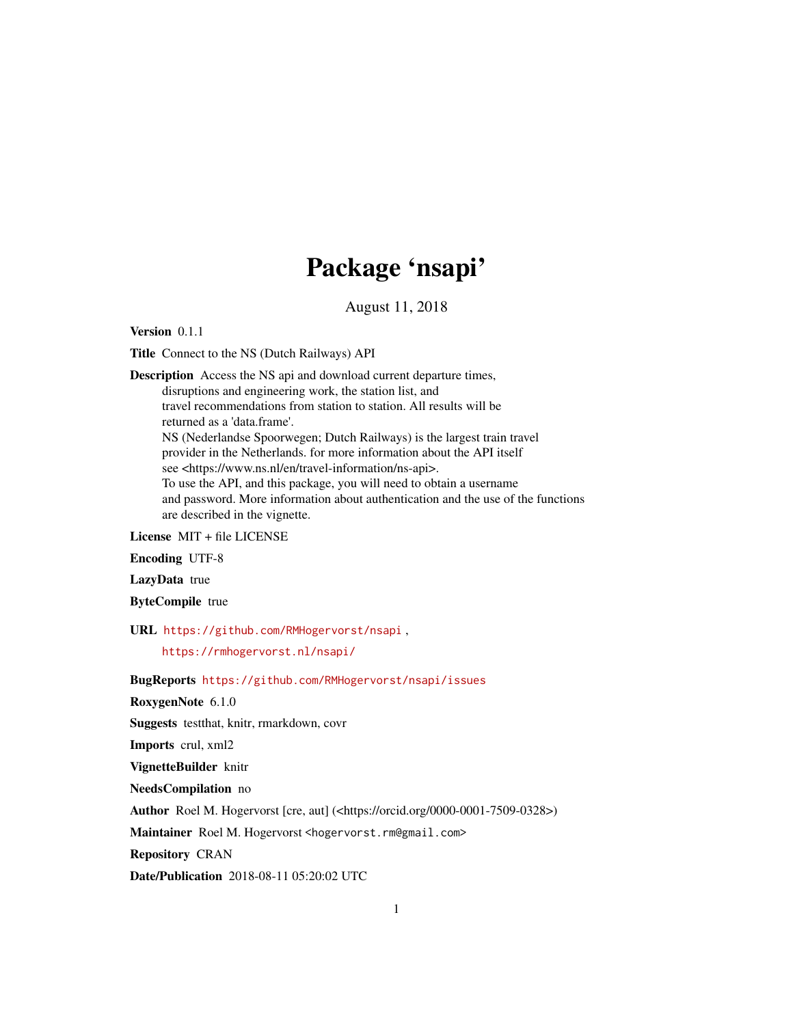## Package 'nsapi'

August 11, 2018

Version 0.1.1

Title Connect to the NS (Dutch Railways) API

Description Access the NS api and download current departure times, disruptions and engineering work, the station list, and travel recommendations from station to station. All results will be returned as a 'data.frame'. NS (Nederlandse Spoorwegen; Dutch Railways) is the largest train travel provider in the Netherlands. for more information about the API itself see <https://www.ns.nl/en/travel-information/ns-api>. To use the API, and this package, you will need to obtain a username and password. More information about authentication and the use of the functions are described in the vignette.

License MIT + file LICENSE

Encoding UTF-8

LazyData true

ByteCompile true

URL <https://github.com/RMHogervorst/nsapi> ,

<https://rmhogervorst.nl/nsapi/>

BugReports <https://github.com/RMHogervorst/nsapi/issues>

RoxygenNote 6.1.0

Suggests testthat, knitr, rmarkdown, covr

Imports crul, xml2

VignetteBuilder knitr

NeedsCompilation no

Author Roel M. Hogervorst [cre, aut] (<https://orcid.org/0000-0001-7509-0328>)

Maintainer Roel M. Hogervorst <hogervorst.rm@gmail.com>

Repository CRAN

Date/Publication 2018-08-11 05:20:02 UTC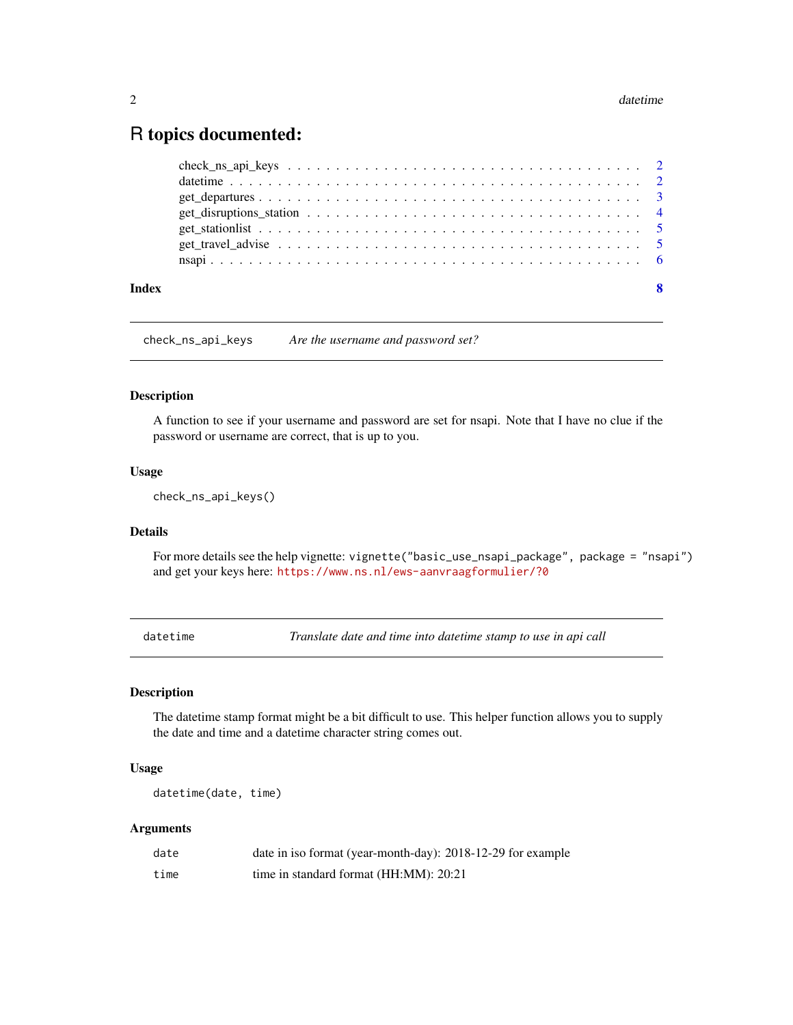### <span id="page-1-0"></span>R topics documented:

<span id="page-1-1"></span>check\_ns\_api\_keys *Are the username and password set?*

#### Description

A function to see if your username and password are set for nsapi. Note that I have no clue if the password or username are correct, that is up to you.

#### Usage

check\_ns\_api\_keys()

#### Details

For more details see the help vignette: vignette("basic\_use\_nsapi\_package", package = "nsapi") and get your keys here: <https://www.ns.nl/ews-aanvraagformulier/?0>

<span id="page-1-2"></span>datetime *Translate date and time into datetime stamp to use in api call*

#### Description

The datetime stamp format might be a bit difficult to use. This helper function allows you to supply the date and time and a datetime character string comes out.

#### Usage

datetime(date, time)

#### Arguments

| date | date in iso format (year-month-day): 2018-12-29 for example |
|------|-------------------------------------------------------------|
| time | time in standard format (HH:MM): 20:21                      |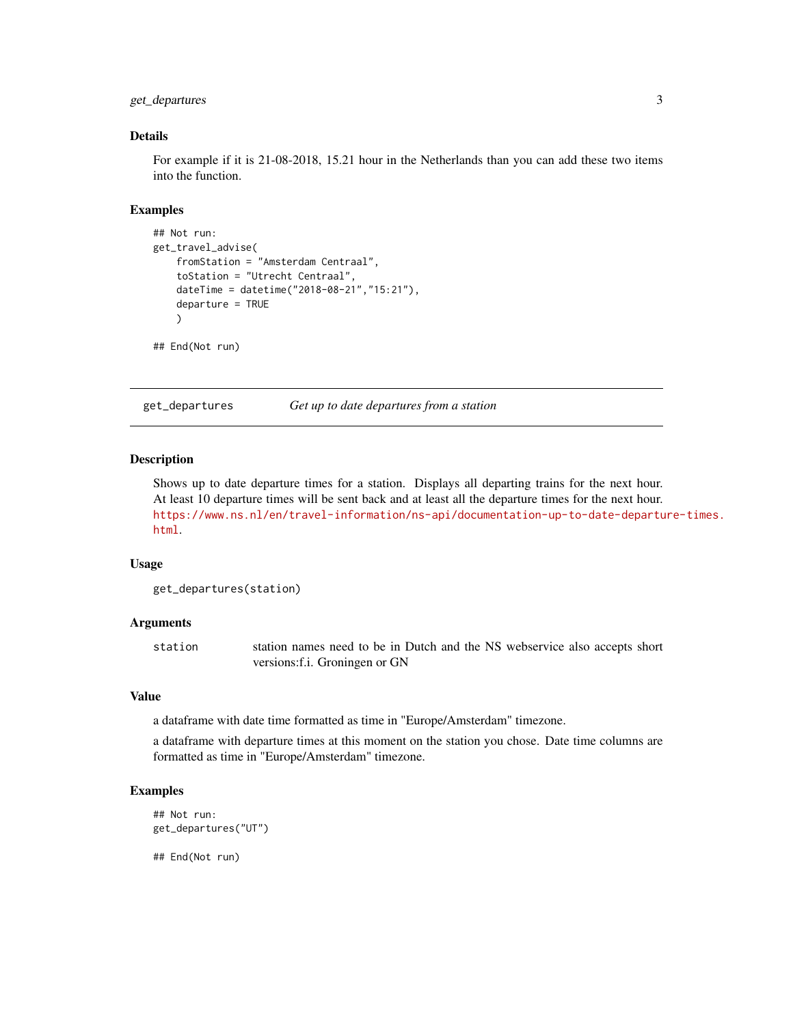#### <span id="page-2-0"></span>get\_departures 3

#### Details

For example if it is 21-08-2018, 15.21 hour in the Netherlands than you can add these two items into the function.

#### Examples

```
## Not run:
get_travel_advise(
    fromStation = "Amsterdam Centraal",
    toStation = "Utrecht Centraal",
    dateTime = datetime("2018-08-21","15:21"),
    departure = TRUE
    \lambda
```
## End(Not run)

<span id="page-2-1"></span>get\_departures *Get up to date departures from a station*

#### Description

Shows up to date departure times for a station. Displays all departing trains for the next hour. At least 10 departure times will be sent back and at least all the departure times for the next hour. [https://www.ns.nl/en/travel-information/ns-api/documentation-up-to-date-departu](https://www.ns.nl/en/travel-information/ns-api/documentation-up-to-date-departure-times.html)re-times. [html](https://www.ns.nl/en/travel-information/ns-api/documentation-up-to-date-departure-times.html).

#### Usage

get\_departures(station)

#### Arguments

station station names need to be in Dutch and the NS webservice also accepts short versions:f.i. Groningen or GN

#### Value

a dataframe with date time formatted as time in "Europe/Amsterdam" timezone.

a dataframe with departure times at this moment on the station you chose. Date time columns are formatted as time in "Europe/Amsterdam" timezone.

#### Examples

```
## Not run:
get_departures("UT")
```
## End(Not run)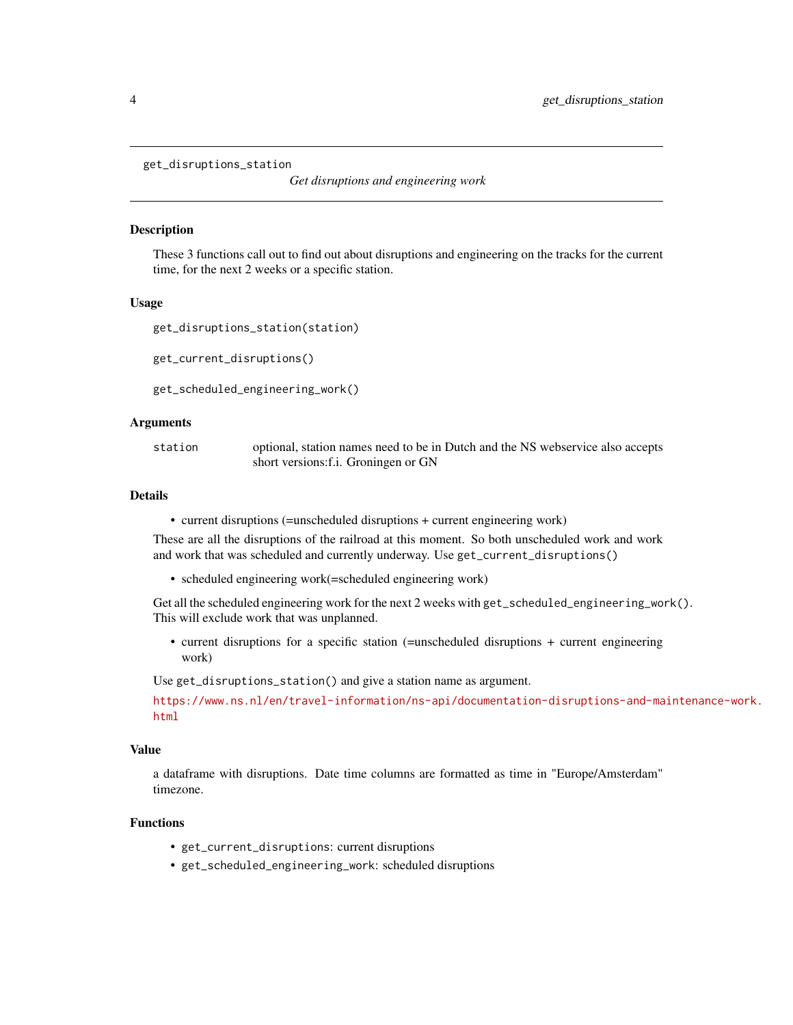```
get_disruptions_station
```
*Get disruptions and engineering work*

#### <span id="page-3-1"></span>Description

These 3 functions call out to find out about disruptions and engineering on the tracks for the current time, for the next 2 weeks or a specific station.

#### Usage

```
get_disruptions_station(station)
```
get\_current\_disruptions()

get\_scheduled\_engineering\_work()

#### Arguments

station optional, station names need to be in Dutch and the NS webservice also accepts short versions:f.i. Groningen or GN

#### Details

• current disruptions (=unscheduled disruptions + current engineering work)

These are all the disruptions of the railroad at this moment. So both unscheduled work and work and work that was scheduled and currently underway. Use get\_current\_disruptions()

• scheduled engineering work(=scheduled engineering work)

Get all the scheduled engineering work for the next 2 weeks with get\_scheduled\_engineering\_work(). This will exclude work that was unplanned.

• current disruptions for a specific station (=unscheduled disruptions + current engineering work)

Use get\_disruptions\_station() and give a station name as argument.

[https://www.ns.nl/en/travel-information/ns-api/documentation-disruptions-and-ma](https://www.ns.nl/en/travel-information/ns-api/documentation-disruptions-and-maintenance-work.html)intenance-work. [html](https://www.ns.nl/en/travel-information/ns-api/documentation-disruptions-and-maintenance-work.html)

#### Value

a dataframe with disruptions. Date time columns are formatted as time in "Europe/Amsterdam" timezone.

#### Functions

- get\_current\_disruptions: current disruptions
- get\_scheduled\_engineering\_work: scheduled disruptions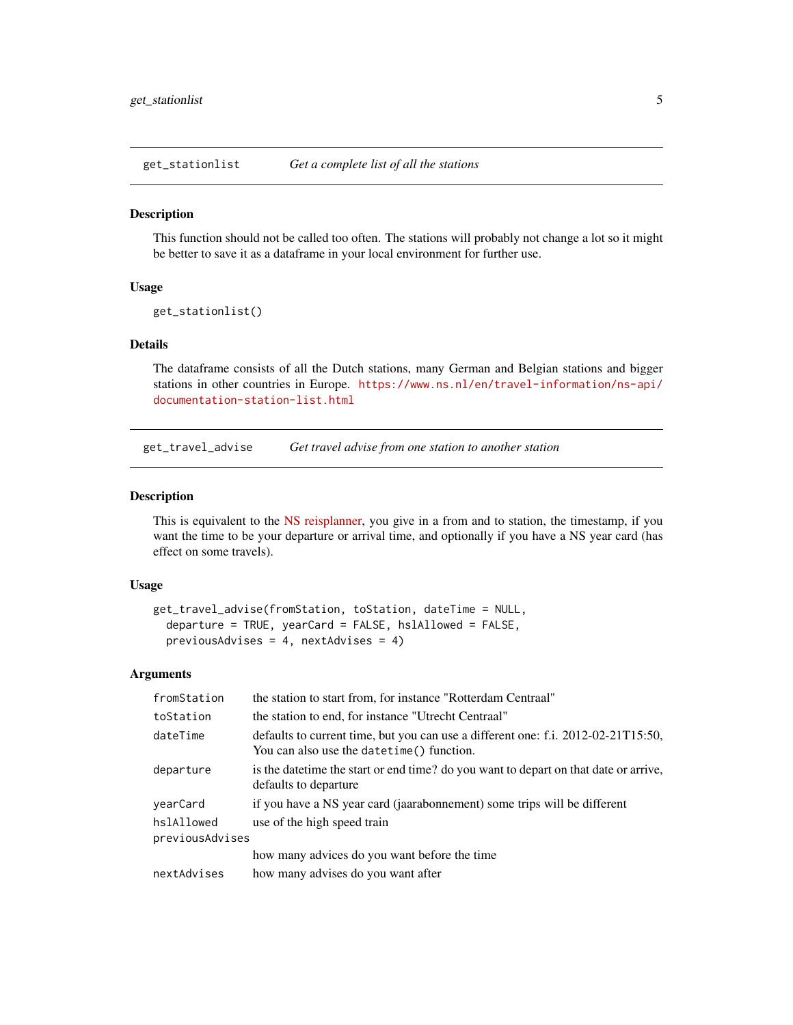<span id="page-4-2"></span><span id="page-4-0"></span>get\_stationlist *Get a complete list of all the stations*

#### Description

This function should not be called too often. The stations will probably not change a lot so it might be better to save it as a dataframe in your local environment for further use.

#### Usage

```
get_stationlist()
```
#### Details

The dataframe consists of all the Dutch stations, many German and Belgian stations and bigger stations in other countries in Europe. [https://www.ns.nl/en/travel-information/ns-api/](https://www.ns.nl/en/travel-information/ns-api/documentation-station-list.html) [documentation-station-list.html](https://www.ns.nl/en/travel-information/ns-api/documentation-station-list.html)

<span id="page-4-1"></span>get\_travel\_advise *Get travel advise from one station to another station*

#### Description

This is equivalent to the [NS reisplanner,](https://www.ns.nl/reisplanner#/) you give in a from and to station, the timestamp, if you want the time to be your departure or arrival time, and optionally if you have a NS year card (has effect on some travels).

#### Usage

```
get_travel_advise(fromStation, toStation, dateTime = NULL,
  departure = TRUE, yearCard = FALSE, hslAllowed = FALSE,
 previousAdvises = 4, nextAdvises = 4)
```
#### Arguments

| fromStation                   | the station to start from, for instance "Rotterdam Centraal"                                                                    |
|-------------------------------|---------------------------------------------------------------------------------------------------------------------------------|
| toStation                     | the station to end, for instance "Utrecht Centraal"                                                                             |
| dateTime                      | defaults to current time, but you can use a different one: f.i. 2012-02-21T15:50,<br>You can also use the datetime () function. |
| departure                     | is the date time the start or end time? do you want to depart on that date or arrive,<br>defaults to departure                  |
| yearCard                      | if you have a NS year card (jaarabonnement) some trips will be different                                                        |
| hslAllowed<br>previousAdvises | use of the high speed train                                                                                                     |
|                               | how many advices do you want before the time                                                                                    |
| nextAdvises                   | how many advises do you want after                                                                                              |
|                               |                                                                                                                                 |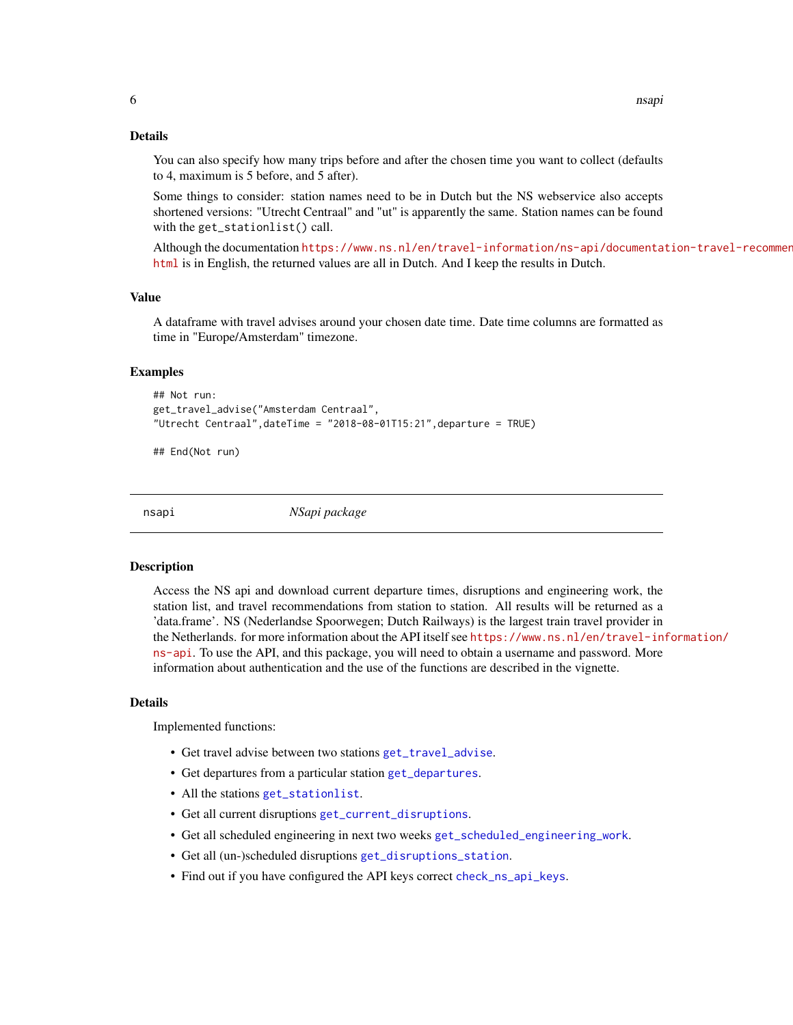#### <span id="page-5-0"></span>Details

You can also specify how many trips before and after the chosen time you want to collect (defaults to 4, maximum is 5 before, and 5 after).

Some things to consider: station names need to be in Dutch but the NS webservice also accepts shortened versions: "Utrecht Centraal" and "ut" is apparently the same. Station names can be found with the get\_stationlist() call.

Although the documentation [https://www.ns.nl/en/travel-information/ns-api/documenta](https://www.ns.nl/en/travel-information/ns-api/documentation-travel-recommendations.html)tion-travel-recommen [html](https://www.ns.nl/en/travel-information/ns-api/documentation-travel-recommendations.html) is in English, the returned values are all in Dutch. And I keep the results in Dutch.

#### Value

A dataframe with travel advises around your chosen date time. Date time columns are formatted as time in "Europe/Amsterdam" timezone.

#### Examples

```
## Not run:
get_travel_advise("Amsterdam Centraal",
"Utrecht Centraal",dateTime = "2018-08-01T15:21",departure = TRUE)
```
## End(Not run)

nsapi *NSapi package*

#### **Description**

Access the NS api and download current departure times, disruptions and engineering work, the station list, and travel recommendations from station to station. All results will be returned as a 'data.frame'. NS (Nederlandse Spoorwegen; Dutch Railways) is the largest train travel provider in the Netherlands. for more information about the API itself see [https://www.ns.nl/en/travel-in](https://www.ns.nl/en/travel-information/ns-api)formation/ [ns-api](https://www.ns.nl/en/travel-information/ns-api). To use the API, and this package, you will need to obtain a username and password. More information about authentication and the use of the functions are described in the vignette.

#### Details

Implemented functions:

- Get travel advise between two stations [get\\_travel\\_advise](#page-4-1).
- Get departures from a particular station [get\\_departures](#page-2-1).
- All the stations [get\\_stationlist](#page-4-2).
- Get all current disruptions [get\\_current\\_disruptions](#page-3-1).
- Get all scheduled engineering in next two weeks [get\\_scheduled\\_engineering\\_work](#page-3-1).
- Get all (un-)scheduled disruptions [get\\_disruptions\\_station](#page-3-2).
- Find out if you have configured the API keys correct [check\\_ns\\_api\\_keys](#page-1-1).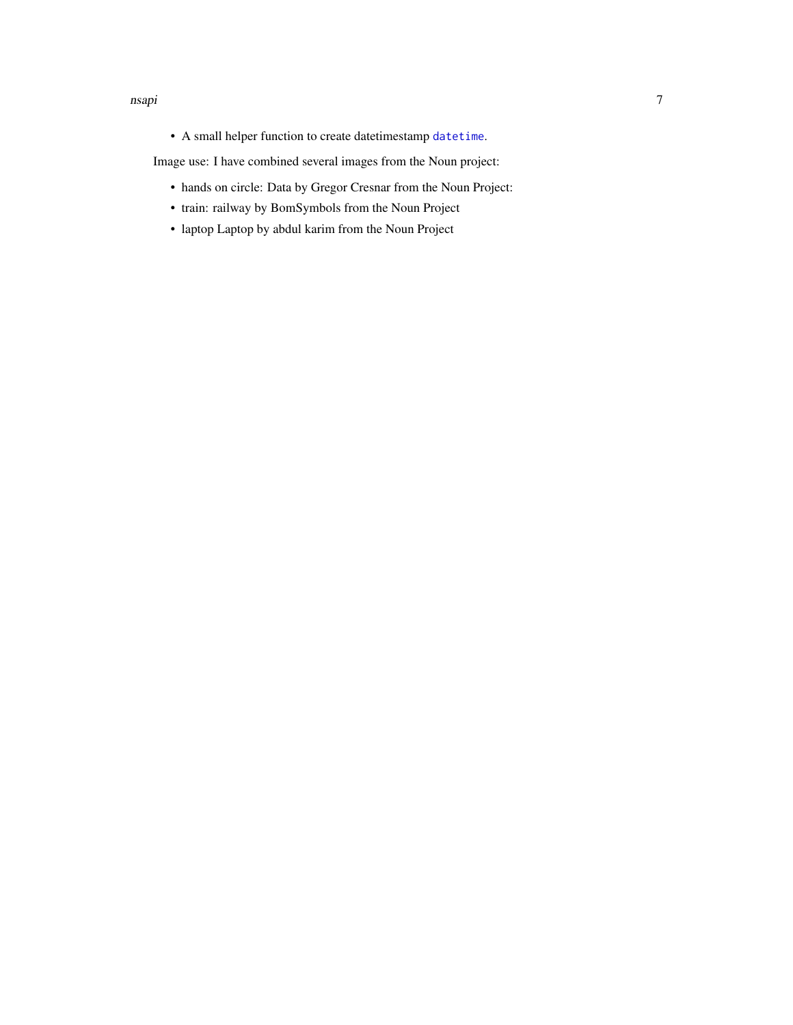#### <span id="page-6-0"></span>nsapi 70 metatra. Penulisan ke 1999 metatra 1999 metatra. Penulisan ke 1999 metatra 1999 metatra. Penulisan 19

• A small helper function to create datetimestamp [datetime](#page-1-2).

Image use: I have combined several images from the Noun project:

- hands on circle: Data by Gregor Cresnar from the Noun Project:
- train: railway by BomSymbols from the Noun Project
- laptop Laptop by abdul karim from the Noun Project